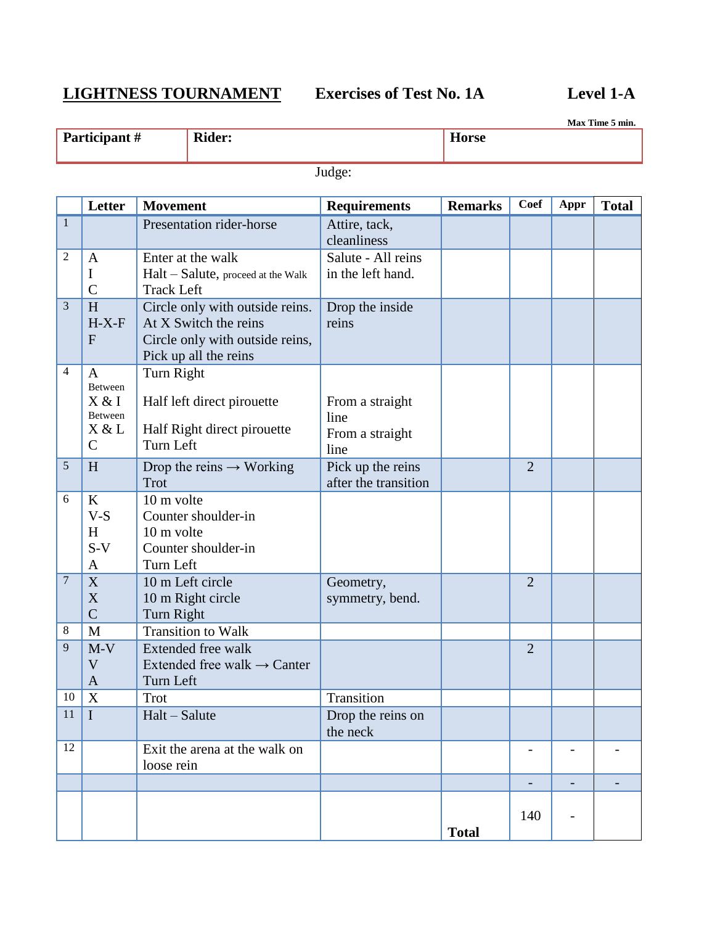# **LIGHTNESS TOURNAMENT Exercises of Test No. 1A Level 1-A**

**Max Time 5 min.**

| Participant# | <b>Rider:</b> | <b>Horse</b> |
|--------------|---------------|--------------|
|              |               |              |

Judge:

|                | Letter                                                               | <b>Movement</b>                                                                                                      | <b>Requirements</b>                                | <b>Remarks</b> | Coef                     | Appr                     | <b>Total</b> |
|----------------|----------------------------------------------------------------------|----------------------------------------------------------------------------------------------------------------------|----------------------------------------------------|----------------|--------------------------|--------------------------|--------------|
| $\mathbf{1}$   |                                                                      | Presentation rider-horse                                                                                             | Attire, tack,<br>cleanliness                       |                |                          |                          |              |
| $\mathfrak{2}$ | $\mathbf{A}$<br>I<br>$\mathcal{C}$                                   | Enter at the walk<br>Halt - Salute, proceed at the Walk<br><b>Track Left</b>                                         | Salute - All reins<br>in the left hand.            |                |                          |                          |              |
| 3              | H<br>$H-X-F$<br>$\mathbf{F}$                                         | Circle only with outside reins.<br>At X Switch the reins<br>Circle only with outside reins,<br>Pick up all the reins | Drop the inside<br>reins                           |                |                          |                          |              |
| 4              | $\mathbf{A}$<br>Between<br>X & I<br>Between<br>X & L<br>$\mathsf{C}$ | Turn Right<br>Half left direct pirouette<br>Half Right direct pirouette<br>Turn Left                                 | From a straight<br>line<br>From a straight<br>line |                |                          |                          |              |
| 5              | H                                                                    | Drop the reins $\rightarrow$ Working<br>Trot                                                                         | Pick up the reins<br>after the transition          |                | $\overline{2}$           |                          |              |
| 6              | K<br>$V-S$<br>H<br>$S-V$<br>A                                        | 10 m volte<br>Counter shoulder-in<br>10 m volte<br>Counter shoulder-in<br>Turn Left                                  |                                                    |                |                          |                          |              |
| $\overline{7}$ | X<br>X<br>$\overline{C}$                                             | 10 m Left circle<br>10 m Right circle<br>Turn Right                                                                  | Geometry,<br>symmetry, bend.                       |                | $\overline{2}$           |                          |              |
| 8<br>9         | M<br>$M-V$<br>V<br>A                                                 | <b>Transition to Walk</b><br>Extended free walk<br>Extended free walk $\rightarrow$ Canter<br>Turn Left              |                                                    |                | $\overline{2}$           |                          |              |
| 10             | X                                                                    | Trot                                                                                                                 | Transition                                         |                |                          |                          |              |
| 11             | $\mathbf I$                                                          | Halt - Salute                                                                                                        | Drop the reins on<br>the neck                      |                |                          |                          |              |
| 12             |                                                                      | Exit the arena at the walk on<br>loose rein                                                                          |                                                    |                |                          |                          |              |
|                |                                                                      |                                                                                                                      |                                                    |                | $\overline{\phantom{0}}$ | $\overline{\phantom{0}}$ |              |
|                |                                                                      |                                                                                                                      |                                                    | <b>Total</b>   | 140                      |                          |              |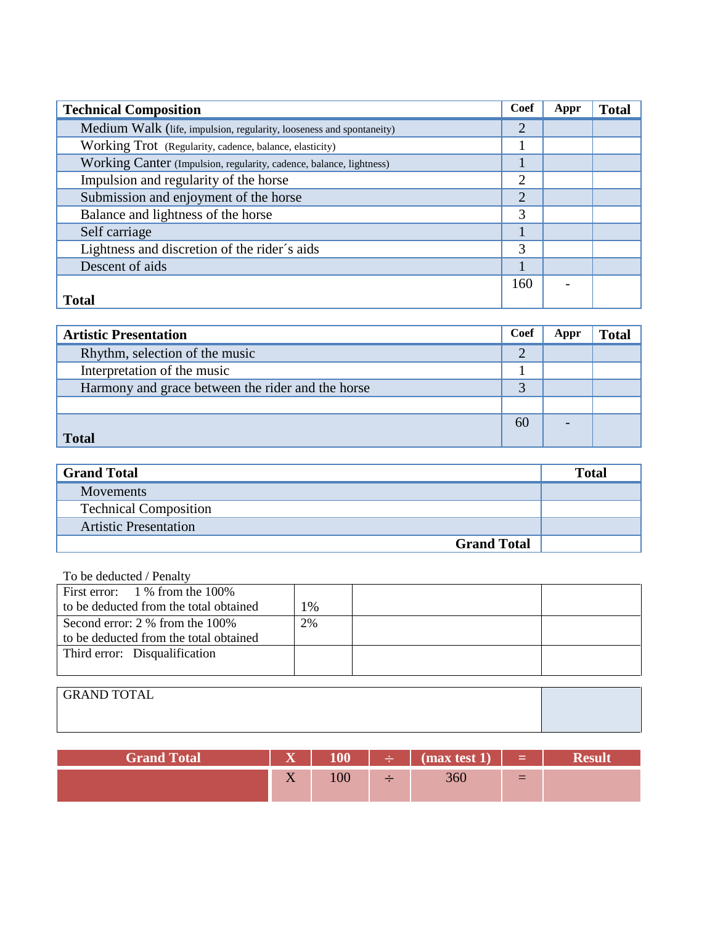| <b>Technical Composition</b>                                         | Coef           | Appr | <b>Total</b> |
|----------------------------------------------------------------------|----------------|------|--------------|
| Medium Walk (life, impulsion, regularity, looseness and spontaneity) | $\overline{2}$ |      |              |
| Working Trot (Regularity, cadence, balance, elasticity)              |                |      |              |
| Working Canter (Impulsion, regularity, cadence, balance, lightness)  |                |      |              |
| Impulsion and regularity of the horse                                | $\overline{2}$ |      |              |
| Submission and enjoyment of the horse                                | $\overline{2}$ |      |              |
| Balance and lightness of the horse                                   | 3              |      |              |
| Self carriage                                                        |                |      |              |
| Lightness and discretion of the rider's aids                         | 3              |      |              |
| Descent of aids                                                      |                |      |              |
|                                                                      | 160            |      |              |
| <b>Total</b>                                                         |                |      |              |

| <b>Artistic Presentation</b>                      | Coef | Appr | <b>Total</b> |
|---------------------------------------------------|------|------|--------------|
| Rhythm, selection of the music                    | 2    |      |              |
| Interpretation of the music                       |      |      |              |
| Harmony and grace between the rider and the horse | っ    |      |              |
|                                                   |      |      |              |
|                                                   | 60   |      |              |
| <b>Total</b>                                      |      |      |              |

| <b>Grand Total</b>           | <b>Total</b> |
|------------------------------|--------------|
| <b>Movements</b>             |              |
| <b>Technical Composition</b> |              |
| <b>Artistic Presentation</b> |              |
| <b>Grand Total</b>           |              |

### To be deducted / Penalty

| First error: $1\%$ from the 100%       |    |  |
|----------------------------------------|----|--|
| to be deducted from the total obtained | 1% |  |
| Second error: 2 % from the 100%        | 2% |  |
| to be deducted from the total obtained |    |  |
| Third error: Disqualification          |    |  |
|                                        |    |  |

| <b>GRAND TOTAL</b> |  |
|--------------------|--|
|                    |  |
|                    |  |

| <b>Grand Total</b> | $\overline{\mathbf{v}}$<br>. | 100     | $\rightarrow$ $\rightarrow$ $\vert$ (max test 1) $\vert$ = |                          |  |
|--------------------|------------------------------|---------|------------------------------------------------------------|--------------------------|--|
|                    | $\sim$ $\sim$<br>$\Lambda$   | $100\,$ | 360                                                        | $\overline{\phantom{0}}$ |  |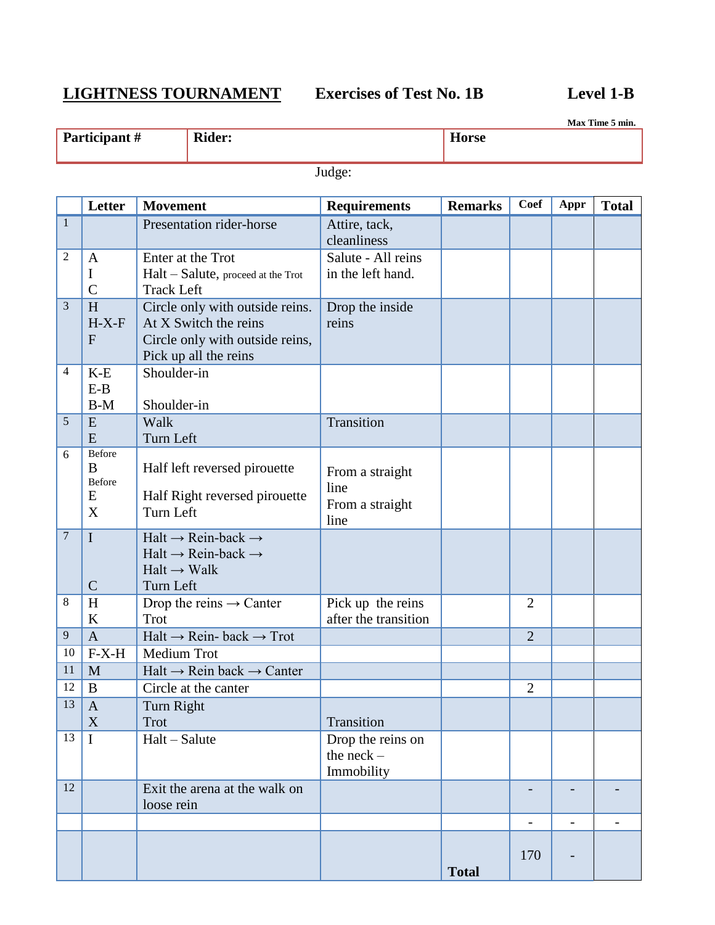# **LIGHTNESS TOURNAMENT Exercises of Test No. 1B Level 1-B**

**Max Time 5 min.**

| Participant# | <b>Rider:</b> | <b>Horse</b> |
|--------------|---------------|--------------|
|              |               |              |

Judge:

|                  | Letter                             | <b>Movement</b>                                                                                                              | <b>Requirements</b>                                | <b>Remarks</b> | <b>Coef</b>              | Appr                         | <b>Total</b>             |
|------------------|------------------------------------|------------------------------------------------------------------------------------------------------------------------------|----------------------------------------------------|----------------|--------------------------|------------------------------|--------------------------|
| $\mathbf{1}$     |                                    | Presentation rider-horse                                                                                                     | Attire, tack,<br>cleanliness                       |                |                          |                              |                          |
| $\mathfrak{2}$   | $\mathbf{A}$<br>I<br>$\mathcal{C}$ | Enter at the Trot<br>Halt - Salute, proceed at the Trot<br><b>Track Left</b>                                                 | Salute - All reins<br>in the left hand.            |                |                          |                              |                          |
| 3                | H<br>$H-X-F$<br>$\mathbf{F}$       | Circle only with outside reins.<br>At X Switch the reins<br>Circle only with outside reins,<br>Pick up all the reins         | Drop the inside<br>reins                           |                |                          |                              |                          |
| $\overline{4}$   | $K-E$<br>$E-B$<br>$B-M$            | Shoulder-in<br>Shoulder-in                                                                                                   |                                                    |                |                          |                              |                          |
| 5                | E<br>E                             | Walk<br>Turn Left                                                                                                            | Transition                                         |                |                          |                              |                          |
| 6                | Before<br>B<br>Before<br>E<br>X    | Half left reversed pirouette<br>Half Right reversed pirouette<br>Turn Left                                                   | From a straight<br>line<br>From a straight<br>line |                |                          |                              |                          |
| $\boldsymbol{7}$ | $\mathbf I$<br>$\mathsf{C}$        | $Halt \rightarrow Rein-back \rightarrow$<br>$Halt \rightarrow Rein-back \rightarrow$<br>$Halt \rightarrow Walk$<br>Turn Left |                                                    |                |                          |                              |                          |
| 8                | H<br>$\bf K$                       | Drop the reins $\rightarrow$ Canter<br>Trot                                                                                  | Pick up the reins<br>after the transition          |                | $\overline{2}$           |                              |                          |
| 9                | $\overline{A}$                     | $Halt \rightarrow Rein$ - back $\rightarrow$ Trot                                                                            |                                                    |                | $\overline{2}$           |                              |                          |
| 10               | $F-X-H$                            | Medium Trot                                                                                                                  |                                                    |                |                          |                              |                          |
| 11               | M                                  | $Halt \rightarrow Rein$ back $\rightarrow$ Canter                                                                            |                                                    |                |                          |                              |                          |
| 12               | B                                  | Circle at the canter                                                                                                         |                                                    |                | $\overline{2}$           |                              |                          |
| 13               | $\mathbf{A}$<br>$\mathbf X$        | Turn Right<br>Trot                                                                                                           | Transition                                         |                |                          |                              |                          |
| 13               | $\mathbf I$                        | Halt - Salute                                                                                                                | Drop the reins on<br>the $neck -$<br>Immobility    |                |                          |                              |                          |
| 12               |                                    | Exit the arena at the walk on<br>loose rein                                                                                  |                                                    |                |                          |                              |                          |
|                  |                                    |                                                                                                                              |                                                    |                | $\overline{\phantom{0}}$ | $\qquad \qquad \blacksquare$ | $\overline{\phantom{a}}$ |
|                  |                                    |                                                                                                                              |                                                    | <b>Total</b>   | 170                      |                              |                          |